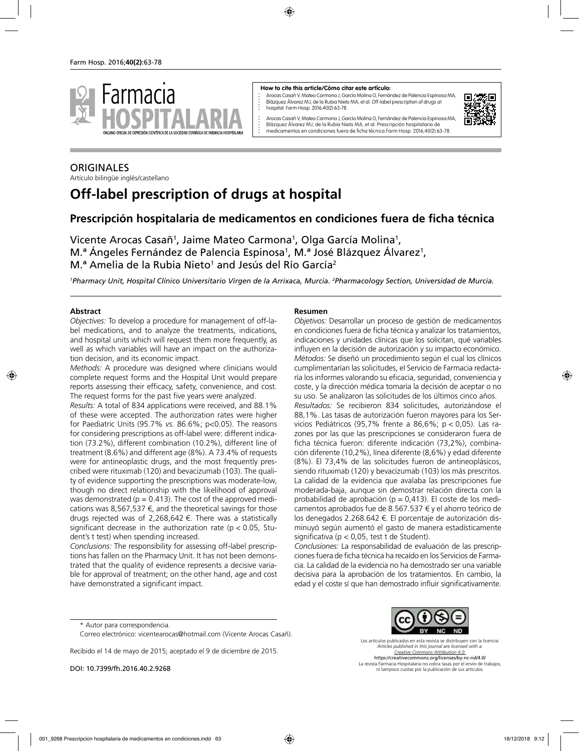

#### **How to cite this article/Cómo citar este artículo:**

Arocas Casañ V, Mateo Carmona J, García Molina O, Fernández de Palencia Espinosa MA, Blázquez Álvarez MJ, de la Rubia Nieto MA, et al. Off-label prescription of drugs at hospital. Farm Hosp. 2016;40(2):63-78.



Arocas Casañ V, Mateo Carmona J, García Molina O, Fernández de Palencia Espinosa MA, Blázquez Álvarez MJ, de la Rubia Nieto MA, et al. Prescripción hospitalaria de medicamentos en condiciones fuera de ficha técnica.Farm Hosp. 2016;40(2):63-78.

#### **ORIGINALES** Artículo bilingüe inglés/castellano

# **Off-label prescription of drugs at hospital**

## **Prescripción hospitalaria de medicamentos en condiciones fuera de ficha técnica**

Vicente Arocas Casañ<sup>1</sup>, Jaime Mateo Carmona<sup>1</sup>, Olga García Molina<sup>1</sup>, M.ª Ángeles Fernández de Palencia Espinosa<sup>1</sup>, M.ª José Blázquez Álvarez<sup>1</sup>, M.ª Amelia de la Rubia Nieto<sup>1</sup> and Jesús del Río García<sup>2</sup>

<sup>1</sup>Pharmacy Unit, Hospital Clínico Universitario Virgen de la Arrixaca, Murcia. <sup>2</sup>Pharmacology Section, Universidad de Murcia.

#### **Abstract**

*Objectives:* To develop a procedure for management of off-label medications, and to analyze the treatments, indications, and hospital units which will request them more frequently, as well as which variables will have an impact on the authorization decision, and its economic impact.

*Methods:* A procedure was designed where clinicians would complete request forms and the Hospital Unit would prepare reports assessing their efficacy, safety, convenience, and cost. The request forms for the past five years were analyzed.

*Results:* A total of 834 applications were received, and 88.1% of these were accepted. The authorization rates were higher for Paediatric Units (95.7% *vs.* 86.6%; p<0.05). The reasons for considering prescriptions as off-label were: different indication (73.2%), different combination (10.2%), different line of treatment (8.6%) and different age (8%). A 73.4% of requests were for antineoplastic drugs, and the most frequently prescribed were rituximab (120) and bevacizumab (103). The quality of evidence supporting the prescriptions was moderate-low, though no direct relationship with the likelihood of approval was demonstrated ( $p = 0.413$ ). The cost of the approved medications was 8,567,537  $\epsilon$ , and the theoretical savings for those drugs rejected was of 2,268,642 €. There was a statistically significant decrease in the authorization rate ( $p < 0.05$ , Student's t test) when spending increased.

*Conclusions:* The responsibility for assessing off-label prescriptions has fallen on the Pharmacy Unit. It has not been demonstrated that the quality of evidence represents a decisive variable for approval of treatment; on the other hand, age and cost have demonstrated a significant impact.

#### **Resumen**

*Objetivos:* Desarrollar un proceso de gestión de medicamentos en condiciones fuera de ficha técnica y analizar los tratamientos, indicaciones y unidades clínicas que los solicitan, qué variables influyen en la decisión de autorización y su impacto económico. *Métodos:* Se diseñó un procedimiento según el cual los clínicos cumplimentarían las solicitudes, el Servicio de Farmacia redactaría los informes valorando su eficacia, seguridad, conveniencia y coste, y la dirección médica tomaría la decisión de aceptar o no su uso. Se analizaron las solicitudes de los últimos cinco años. *Resultados:* Se recibieron 834 solicitudes, autorizándose el 88,1%. Las tasas de autorización fueron mayores para los Servicios Pediátricos (95,7% frente a 86,6%;  $p < 0.05$ ). Las razones por las que las prescripciones se consideraron fuera de ficha técnica fueron: diferente indicación (73,2%), combinación diferente (10,2%), línea diferente (8,6%) y edad diferente (8%). El 73,4% de las solicitudes fueron de antineoplásicos, siendo rituximab (120) y bevacizumab (103) los más prescritos. La calidad de la evidencia que avalaba las prescripciones fue moderada-baja, aunque sin demostrar relación directa con la probabilidad de aprobación ( $p = 0,413$ ). El coste de los medicamentos aprobados fue de 8.567.537 € y el ahorro teórico de los denegados 2.268.642 €. El porcentaje de autorización disminuyó según aumentó el gasto de manera estadísticamente significativa (p < 0,05, test t de Student).

*Conclusiones:* La responsabilidad de evaluación de las prescripciones fuera de ficha técnica ha recaído en los Servicios de Farmacia. La calidad de la evidencia no ha demostrado ser una variable decisiva para la aprobación de los tratamientos. En cambio, la edad y el coste sí que han demostrado influir significativamente.

Recibido el 14 de mayo de 2015; aceptado el 9 de diciembre de 2015.

DOI: 10.7399/fh.2016.40.2.9268

Los artículos publicados en esta revista se distribuyen con la licencia: *Articles published in this journal are licensed with a: Creative Commons Attribution 4.0.* https://creativecommons.org/licenses/by-nc-nd/4.0/ La revista Farmacia Hospitalaria no cobra tasas por el envío de trabajos, ni tampoco cuotas por la publicación de sus artículos.

<sup>\*</sup> Autor para correspondencia.

Correo electrónico: vicentearocas@hotmail.com (Vicente Arocas Casañ).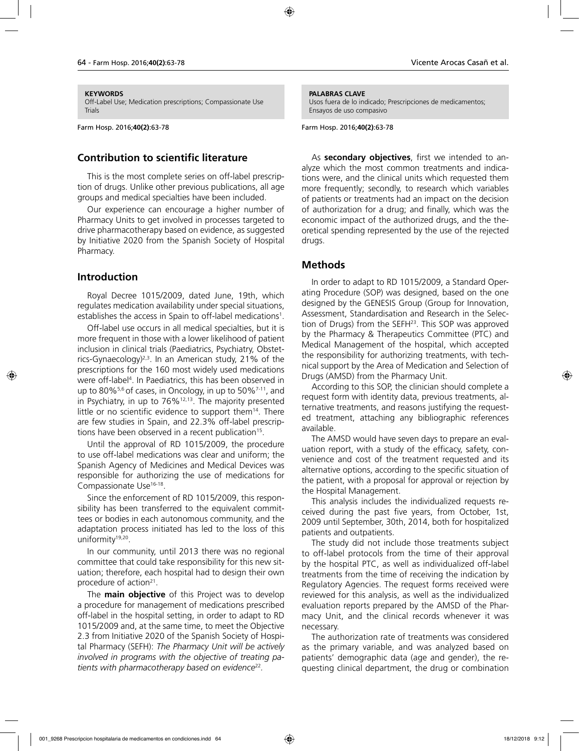#### **KEYWORDS**

Off-Label Use; Medication prescriptions; Compassionate Use Trials

Farm Hosp. 2016;**40(2)**:63-78

#### **Contribution to scientific literature**

This is the most complete series on off-label prescription of drugs. Unlike other previous publications, all age groups and medical specialties have been included.

Our experience can encourage a higher number of Pharmacy Units to get involved in processes targeted to drive pharmacotherapy based on evidence, as suggested by Initiative 2020 from the Spanish Society of Hospital Pharmacy.

#### **Introduction**

Royal Decree 1015/2009, dated June, 19th, which regulates medication availability under special situations, establishes the access in Spain to off-label medications<sup>1</sup>.

Off-label use occurs in all medical specialties, but it is more frequent in those with a lower likelihood of patient inclusion in clinical trials (Paediatrics, Psychiatry, Obstetrics-Gynaecology)<sup> $2,3$ </sup>. In an American study, 21% of the prescriptions for the 160 most widely used medications were off-label4 . In Paediatrics, this has been observed in up to 80% $5,6$  of cases, in Oncology, in up to 50% $7-11$ , and in Psychiatry, in up to  $76\%$ <sup>12,13</sup>. The majority presented little or no scientific evidence to support them $14$ . There are few studies in Spain, and 22.3% off-label prescriptions have been observed in a recent publication<sup>15</sup>.

Until the approval of RD 1015/2009, the procedure to use off-label medications was clear and uniform; the Spanish Agency of Medicines and Medical Devices was responsible for authorizing the use of medications for Compassionate Use<sup>16-18</sup>.

Since the enforcement of RD 1015/2009, this responsibility has been transferred to the equivalent committees or bodies in each autonomous community, and the adaptation process initiated has led to the loss of this uniformity<sup>19,20</sup>.

In our community, until 2013 there was no regional committee that could take responsibility for this new situation; therefore, each hospital had to design their own procedure of action $2^1$ .

The **main objective** of this Project was to develop a procedure for management of medications prescribed off-label in the hospital setting, in order to adapt to RD 1015/2009 and, at the same time, to meet the Objective 2.3 from Initiative 2020 of the Spanish Society of Hospital Pharmacy (SEFH): *The Pharmacy Unit will be actively involved in programs with the objective of treating patients with pharmacotherapy based on evidence*<sup>22</sup>*.*

#### **PALABRAS CLAVE**

Usos fuera de lo indicado; Prescripciones de medicamentos; Ensayos de uso compasivo

Farm Hosp. 2016;**40(2)**:63-78

As **secondary objectives**, first we intended to analyze which the most common treatments and indications were, and the clinical units which requested them more frequently; secondly, to research which variables of patients or treatments had an impact on the decision of authorization for a drug; and finally, which was the economic impact of the authorized drugs, and the theoretical spending represented by the use of the rejected drugs.

### **Methods**

In order to adapt to RD 1015/2009, a Standard Operating Procedure (SOP) was designed, based on the one designed by the GENESIS Group (Group for Innovation, Assessment, Standardisation and Research in the Selection of Drugs) from the SEFH<sup>23</sup>. This SOP was approved by the Pharmacy & Therapeutics Committee (PTC) and Medical Management of the hospital, which accepted the responsibility for authorizing treatments, with technical support by the Area of Medication and Selection of Drugs (AMSD) from the Pharmacy Unit.

According to this SOP, the clinician should complete a request form with identity data, previous treatments, alternative treatments, and reasons justifying the requested treatment, attaching any bibliographic references available.

The AMSD would have seven days to prepare an evaluation report, with a study of the efficacy, safety, convenience and cost of the treatment requested and its alternative options, according to the specific situation of the patient, with a proposal for approval or rejection by the Hospital Management.

This analysis includes the individualized requests received during the past five years, from October, 1st, 2009 until September, 30th, 2014, both for hospitalized patients and outpatients.

The study did not include those treatments subject to off-label protocols from the time of their approval by the hospital PTC, as well as individualized off-label treatments from the time of receiving the indication by Regulatory Agencies. The request forms received were reviewed for this analysis, as well as the individualized evaluation reports prepared by the AMSD of the Pharmacy Unit, and the clinical records whenever it was necessary.

The authorization rate of treatments was considered as the primary variable, and was analyzed based on patients' demographic data (age and gender), the requesting clinical department, the drug or combination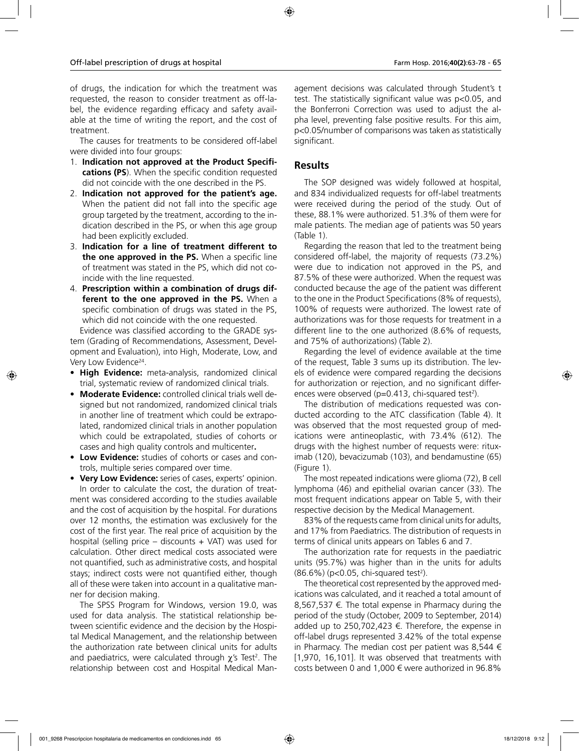of drugs, the indication for which the treatment was requested, the reason to consider treatment as off-label, the evidence regarding efficacy and safety available at the time of writing the report, and the cost of treatment.

The causes for treatments to be considered off-label were divided into four groups:

- 1. **Indication not approved at the Product Specifications (PS**). When the specific condition requested did not coincide with the one described in the PS.
- 2. **Indication not approved for the patient's age.**  When the patient did not fall into the specific age group targeted by the treatment, according to the indication described in the PS, or when this age group had been explicitly excluded.
- 3. **Indication for a line of treatment different to the one approved in the PS.** When a specific line of treatment was stated in the PS, which did not coincide with the line requested.
- 4. **Prescription within a combination of drugs different to the one approved in the PS.** When a specific combination of drugs was stated in the PS, which did not coincide with the one requested.

Evidence was classified according to the GRADE system (Grading of Recommendations, Assessment, Development and Evaluation), into High, Moderate, Low, and Very Low Evidence<sup>24</sup>.

- **High Evidence:** meta-analysis, randomized clinical trial, systematic review of randomized clinical trials.
- **Moderate Evidence:** controlled clinical trials well designed but not randomized, randomized clinical trials in another line of treatment which could be extrapolated, randomized clinical trials in another population which could be extrapolated, studies of cohorts or cases and high quality controls and multicenter**.**
- **Low Evidence:** studies of cohorts or cases and controls, multiple series compared over time.

• **Very Low Evidence:** series of cases, experts' opinion. In order to calculate the cost, the duration of treatment was considered according to the studies available and the cost of acquisition by the hospital. For durations over 12 months, the estimation was exclusively for the cost of the first year. The real price of acquisition by the hospital (selling price  $-$  discounts  $+$  VAT) was used for calculation. Other direct medical costs associated were not quantified, such as administrative costs, and hospital stays; indirect costs were not quantified either, though all of these were taken into account in a qualitative manner for decision making.

The SPSS Program for Windows, version 19.0, was used for data analysis. The statistical relationship between scientific evidence and the decision by the Hospital Medical Management, and the relationship between the authorization rate between clinical units for adults and paediatrics, were calculated through  $\chi$ 's Test<sup>2</sup>. The relationship between cost and Hospital Medical Man-

agement decisions was calculated through Student's t test. The statistically significant value was p<0.05, and the Bonferroni Correction was used to adjust the alpha level, preventing false positive results. For this aim, p<0.05/number of comparisons was taken as statistically significant.

## **Results**

The SOP designed was widely followed at hospital, and 834 individualized requests for off-label treatments were received during the period of the study. Out of these, 88.1% were authorized. 51.3% of them were for male patients. The median age of patients was 50 years (Table 1).

Regarding the reason that led to the treatment being considered off-label, the majority of requests (73.2%) were due to indication not approved in the PS, and 87.5% of these were authorized. When the request was conducted because the age of the patient was different to the one in the Product Specifications (8% of requests), 100% of requests were authorized. The lowest rate of authorizations was for those requests for treatment in a different line to the one authorized (8.6% of requests, and 75% of authorizations) (Table 2).

Regarding the level of evidence available at the time of the request, Table 3 sums up its distribution. The levels of evidence were compared regarding the decisions for authorization or rejection, and no significant differences were observed (p=0.413, chi-squared test<sup>2</sup>).

The distribution of medications requested was conducted according to the ATC classification (Table 4). It was observed that the most requested group of medications were antineoplastic, with 73.4% (612). The drugs with the highest number of requests were: rituximab (120), bevacizumab (103), and bendamustine (65) (Figure 1).

The most repeated indications were glioma (72), B cell lymphoma (46) and epithelial ovarian cancer (33). The most frequent indications appear on Table 5, with their respective decision by the Medical Management.

83% of the requests came from clinical units for adults, and 17% from Paediatrics. The distribution of requests in terms of clinical units appears on Tables 6 and 7.

The authorization rate for requests in the paediatric units (95.7%) was higher than in the units for adults  $(86.6%)$  (p<0.05, chi-squared test<sup>2</sup>).

The theoretical cost represented by the approved medications was calculated, and it reached a total amount of 8,567,537 €. The total expense in Pharmacy during the period of the study (October, 2009 to September, 2014) added up to 250,702,423 €. Therefore, the expense in off-label drugs represented 3.42% of the total expense in Pharmacy. The median cost per patient was 8,544  $\epsilon$ [1,970, 16,101]. It was observed that treatments with costs between 0 and 1,000  $\epsilon$  were authorized in 96.8%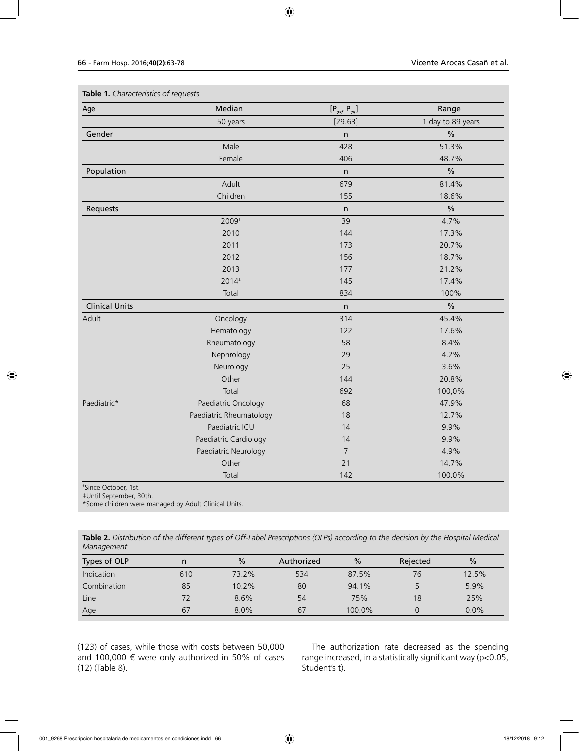| Age                   | Median                  | $[P_{25'} P_{75}]$ | Range             |  |
|-----------------------|-------------------------|--------------------|-------------------|--|
|                       | 50 years                | [29.63]            | 1 day to 89 years |  |
| Gender                |                         | n                  | $\%$              |  |
|                       | Male                    | 428                | 51.3%             |  |
|                       | Female                  | 406                | 48.7%             |  |
| Population            |                         | $\mathsf{n}$       | $\%$              |  |
|                       | Adult                   | 679                | 81.4%             |  |
|                       | Children                | 155                | 18.6%             |  |
| Requests              |                         | n                  | $\%$              |  |
|                       | 2009 <sup>+</sup>       | 39                 | 4.7%              |  |
|                       | 2010                    | 144                | 17.3%             |  |
|                       | 2011                    | 173                | 20.7%             |  |
|                       | 2012                    | 156                | 18.7%             |  |
|                       | 2013                    | 177                | 21.2%             |  |
|                       | 2014#                   | 145                | 17.4%             |  |
|                       | Total                   | 834                | 100%              |  |
| <b>Clinical Units</b> |                         | $\mathsf{n}$       | $\frac{0}{0}$     |  |
| Adult                 | Oncology                | 314                | 45.4%             |  |
|                       | Hematology              | 122                | 17.6%             |  |
|                       | Rheumatology            | 58                 | 8.4%              |  |
|                       | Nephrology              | 29                 | 4.2%              |  |
|                       | Neurology               | 25                 | 3.6%              |  |
|                       | Other                   | 144                | 20.8%             |  |
|                       | Total                   | 692                | 100,0%            |  |
| Paediatric*           | Paediatric Oncology     | 68                 | 47.9%             |  |
|                       | Paediatric Rheumatology | 18                 | 12.7%             |  |
|                       | Paediatric ICU          | 14                 | 9.9%              |  |
|                       | Paediatric Cardiology   | 14                 | 9.9%              |  |
|                       | Paediatric Neurology    | $\overline{7}$     | 4.9%              |  |
|                       | Other                   | 21                 | 14.7%             |  |
|                       | Total                   | 142                | 100.0%            |  |

**Table 1.** *Characteristics of requests*

† Since October, 1st.

‡Until September, 30th.

\*Some children were managed by Adult Clinical Units.

**Table 2.** *Distribution of the different types of Off-Label Prescriptions (OLPs) according to the decision by the Hospital Medical Management*

| Types of OLP | n   | $\frac{0}{0}$ | Authorized | $\frac{0}{0}$ | Rejected | $\frac{0}{0}$ |
|--------------|-----|---------------|------------|---------------|----------|---------------|
| Indication   | 610 | 73.2%         | 534        | 87.5%         | 76       | 12.5%         |
| Combination  | 85  | 10.2%         | 80         | 94.1%         |          | 5.9%          |
| Line         | 72  | 8.6%          | 54         | 75%           | 18       | 25%           |
| Age          | 67  | $8.0\%$       | 67         | 100.0%        |          | $0.0\%$       |

(123) of cases, while those with costs between 50,000 and 100,000  $\epsilon$  were only authorized in 50% of cases (12) (Table 8).

The authorization rate decreased as the spending range increased, in a statistically significant way (p<0.05, Student's t).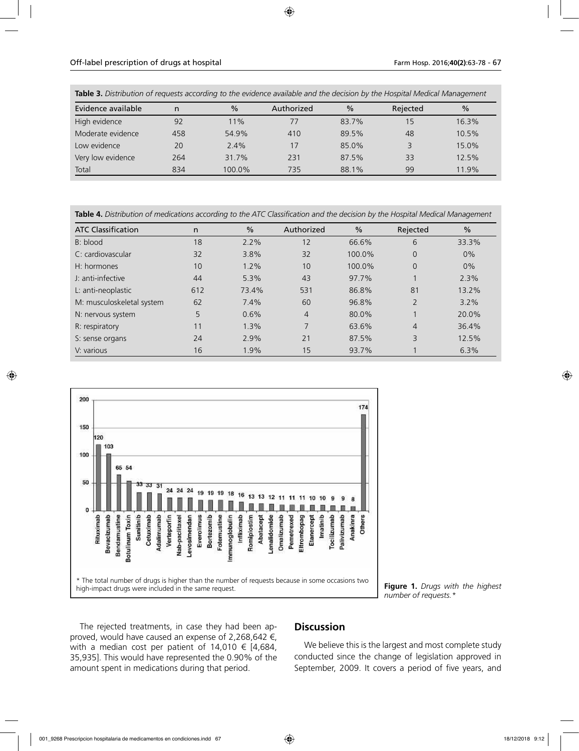**Table 3.** *Distribution of requests according to the evidence available and the decision by the Hospital Medical Management*

| Evidence available | n   | $\frac{0}{0}$ | Authorized | $\frac{0}{0}$ | Rejected | $\frac{0}{0}$ |
|--------------------|-----|---------------|------------|---------------|----------|---------------|
| High evidence      | 92  | 11%           | 77         | 83.7%         | 15       | 16.3%         |
| Moderate evidence  | 458 | 54.9%         | 410        | 89.5%         | 48       | 10.5%         |
| Low evidence       | 20  | 2.4%          | 17         | 85.0%         |          | 15.0%         |
| Very low evidence  | 264 | 31.7%         | 231        | 87.5%         | 33       | 12.5%         |
| Total              | 834 | 100.0%        | 735        | 88.1%         | 99       | 11.9%         |

**Table 4.** *Distribution of medications according to the ATC Classification and the decision by the Hospital Medical Management*

| <b>ATC Classification</b> | n   | $\%$  | Authorized     | $\frac{0}{0}$ | Rejected       | $\frac{0}{0}$ |
|---------------------------|-----|-------|----------------|---------------|----------------|---------------|
| B: blood                  | 18  | 2.2%  | 12             | 66.6%         | 6              | 33.3%         |
| C: cardiovascular         | 32  | 3.8%  | 32             | 100.0%        | 0              | 0%            |
| $H:$ hormones             | 10  | 1.2%  | 10             | 100.0%        | 0              | 0%            |
| J: anti-infective         | 44  | 5.3%  | 43             | 97.7%         |                | 2.3%          |
| L: anti-neoplastic        | 612 | 73.4% | 531            | 86.8%         | 81             | 13.2%         |
| M: musculoskeletal system | 62  | 7.4%  | 60             | 96.8%         | $\overline{2}$ | 3.2%          |
| N: nervous system         | 5   | 0.6%  | $\overline{4}$ | 80.0%         |                | 20.0%         |
| R: respiratory            | 11  | 1.3%  | 7              | 63.6%         | 4              | 36.4%         |
| S: sense organs           | 24  | 2.9%  | 21             | 87.5%         | 3              | 12.5%         |
| V: various                | 16  | 1.9%  | 15             | 93.7%         |                | 6.3%          |



**Figure 1.** *Drugs with the highest number of requests.\**

The rejected treatments, in case they had been approved, would have caused an expense of 2,268,642 €, with a median cost per patient of  $14,010 \in [4,684,$ 35,935]. This would have represented the 0.90% of the amount spent in medications during that period.

### **Discussion**

We believe this is the largest and most complete study conducted since the change of legislation approved in September, 2009. It covers a period of five years, and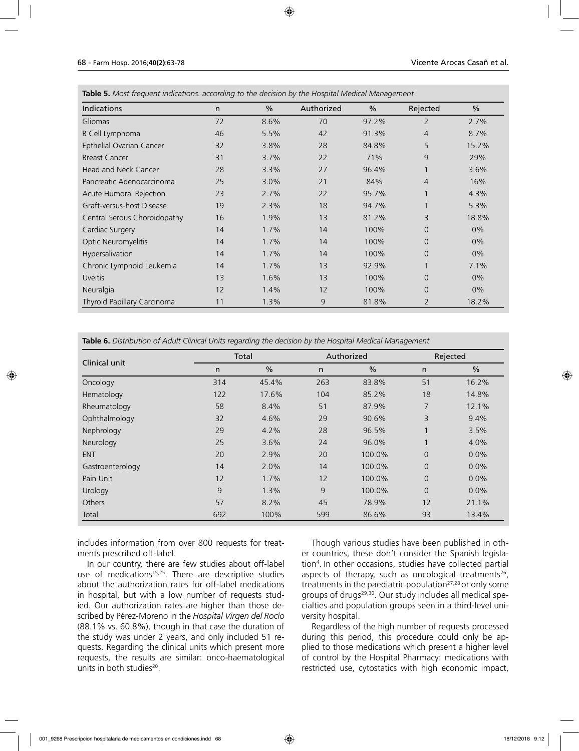| Indications                  | n. | $\frac{0}{0}$ | Authorized | $\frac{0}{0}$ | Rejected       | $\frac{0}{0}$ |
|------------------------------|----|---------------|------------|---------------|----------------|---------------|
| Gliomas                      | 72 | 8.6%          | 70         | 97.2%         | $\overline{2}$ | 2.7%          |
| B Cell Lymphoma              | 46 | 5.5%          | 42         | 91.3%         | $\overline{4}$ | 8.7%          |
| Epthelial Ovarian Cancer     | 32 | 3.8%          | 28         | 84.8%         | 5              | 15.2%         |
| <b>Breast Cancer</b>         | 31 | 3.7%          | 22         | 71%           | 9              | 29%           |
| Head and Neck Cancer         | 28 | 3.3%          | 27         | 96.4%         |                | 3.6%          |
| Pancreatic Adenocarcinoma    | 25 | 3.0%          | 21         | 84%           | $\overline{4}$ | 16%           |
| Acute Humoral Rejection      | 23 | 2.7%          | 22         | 95.7%         |                | 4.3%          |
| Graft-versus-host Disease    | 19 | 2.3%          | 18         | 94.7%         |                | 5.3%          |
| Central Serous Choroidopathy | 16 | 1.9%          | 13         | 81.2%         | 3              | 18.8%         |
| Cardiac Surgery              | 14 | 1.7%          | 14         | 100%          | $\Omega$       | $0\%$         |
| Optic Neuromyelitis          | 14 | 1.7%          | 14         | 100%          | 0              | 0%            |
| Hypersalivation              | 14 | 1.7%          | 14         | 100%          | $\Omega$       | $0\%$         |
| Chronic Lymphoid Leukemia    | 14 | 1.7%          | 13         | 92.9%         |                | 7.1%          |
| <b>Uveitis</b>               | 13 | 1.6%          | 13         | 100%          | $\Omega$       | $0\%$         |
| Neuralgia                    | 12 | 1.4%          | 12         | 100%          | $\Omega$       | $0\%$         |
| Thyroid Papillary Carcinoma  | 11 | 1.3%          | 9          | 81.8%         | 2              | 18.2%         |

**Table 5.** *Most frequent indications. according to the decision by the Hospital Medical Management*

**Table 6.** *Distribution of Adult Clinical Units regarding the decision by the Hospital Medical Management*

| Clinical unit    |     | Total         |              | Authorized    |              | Rejected      |
|------------------|-----|---------------|--------------|---------------|--------------|---------------|
|                  | n   | $\frac{0}{0}$ | $\mathsf{n}$ | $\frac{0}{0}$ | n            | $\frac{0}{0}$ |
| Oncology         | 314 | 45.4%         | 263          | 83.8%         | 51           | 16.2%         |
| Hematology       | 122 | 17.6%         | 104          | 85.2%         | 18           | 14.8%         |
| Rheumatology     | 58  | 8.4%          | 51           | 87.9%         | 7            | 12.1%         |
| Ophthalmology    | 32  | 4.6%          | 29           | 90.6%         | 3            | 9.4%          |
| Nephrology       | 29  | 4.2%          | 28           | 96.5%         | $\mathbf{A}$ | 3.5%          |
| Neurology        | 25  | 3.6%          | 24           | 96.0%         |              | 4.0%          |
| <b>ENT</b>       | 20  | 2.9%          | 20           | 100.0%        | $\Omega$     | 0.0%          |
| Gastroenterology | 14  | 2.0%          | 14           | 100.0%        | $\Omega$     | 0.0%          |
| Pain Unit        | 12  | 1.7%          | 12           | 100.0%        | $\Omega$     | 0.0%          |
| Urology          | 9   | 1.3%          | 9            | 100.0%        | $\Omega$     | $0.0\%$       |
| Others           | 57  | 8.2%          | 45           | 78.9%         | 12           | 21.1%         |
| Total            | 692 | 100%          | 599          | 86.6%         | 93           | 13.4%         |

includes information from over 800 requests for treatments prescribed off-label.

In our country, there are few studies about off-label use of medications<sup>15,25</sup>. There are descriptive studies about the authorization rates for off-label medications in hospital, but with a low number of requests studied. Our authorization rates are higher than those described by Pérez-Moreno in the *Hospital Virgen del Rocío* (88.1% vs. 60.8%), though in that case the duration of the study was under 2 years, and only included 51 requests. Regarding the clinical units which present more requests, the results are similar: onco-haematological units in both studies<sup>20</sup>.

Though various studies have been published in other countries, these don't consider the Spanish legislation4 . In other occasions, studies have collected partial aspects of therapy, such as oncological treatments<sup>26</sup>, treatments in the paediatric population<sup>27,28</sup> or only some groups of drugs<sup>29,30</sup>. Our study includes all medical specialties and population groups seen in a third-level university hospital.

Regardless of the high number of requests processed during this period, this procedure could only be applied to those medications which present a higher level of control by the Hospital Pharmacy: medications with restricted use, cytostatics with high economic impact,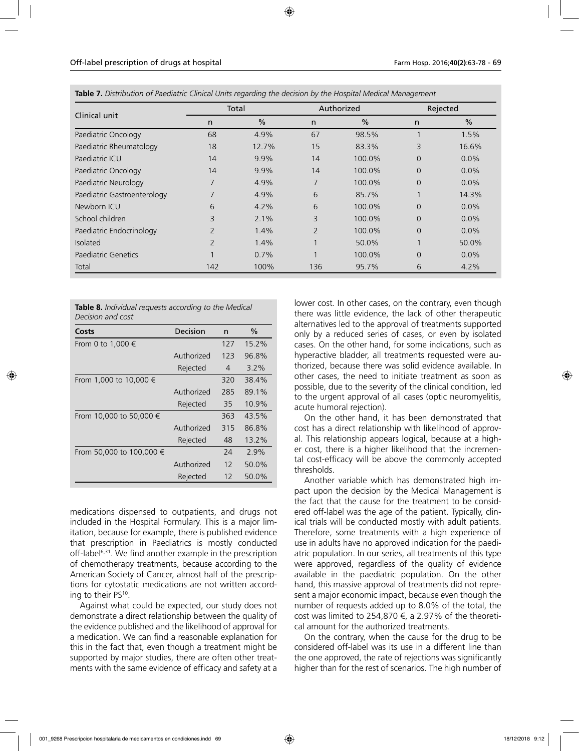| Clinical unit               | Total          |               |                | Authorized    |          | Rejected      |  |
|-----------------------------|----------------|---------------|----------------|---------------|----------|---------------|--|
|                             | n              | $\frac{0}{0}$ | n              | $\frac{0}{0}$ | n        | $\frac{0}{0}$ |  |
| Paediatric Oncology         | 68             | 4.9%          | 67             | 98.5%         |          | 1.5%          |  |
| Paediatric Rheumatology     | 18             | 12.7%         | 15             | 83.3%         | 3        | 16.6%         |  |
| Paediatric ICU              | 14             | 9.9%          | 14             | 100.0%        | $\Omega$ | 0.0%          |  |
| Paediatric Oncology         | 14             | 9.9%          | 14             | 100.0%        | $\Omega$ | 0.0%          |  |
| Paediatric Neurology        | 7              | 4.9%          | 7              | 100.0%        | $\Omega$ | 0.0%          |  |
| Paediatric Gastroenterology | 7              | 4.9%          | 6              | 85.7%         |          | 14.3%         |  |
| Newborn ICU                 | 6              | 4.2%          | 6              | 100.0%        | $\Omega$ | 0.0%          |  |
| School children             | 3              | 2.1%          | 3              | 100.0%        | $\Omega$ | 0.0%          |  |
| Paediatric Endocrinology    | $\overline{2}$ | 1.4%          | $\overline{2}$ | 100.0%        | $\Omega$ | 0.0%          |  |
| <b>Isolated</b>             | $\overline{2}$ | 1.4%          | 1              | 50.0%         |          | 50.0%         |  |
| Paediatric Genetics         |                | 0.7%          | 1              | 100.0%        | $\Omega$ | 0.0%          |  |
| Total                       | 142            | 100%          | 136            | 95.7%         | 6        | 4.2%          |  |

**Table 7.** *Distribution of Paediatric Clinical Units regarding the decision by the Hospital Medical Management*

|                   | <b>Table 8.</b> Individual requests according to the Medical |  |  |
|-------------------|--------------------------------------------------------------|--|--|
| Decision and cost |                                                              |  |  |

| Costs                    | Decision   | n   | $\%$    |
|--------------------------|------------|-----|---------|
| From 0 to 1,000 €        |            | 127 | 15.2%   |
|                          | Authorized | 123 | 96.8%   |
|                          | Rejected   | 4   | $3.2\%$ |
| From 1,000 to 10,000 €   |            | 320 | 38.4%   |
|                          | Authorized | 285 | 89.1%   |
|                          | Rejected   | 35  | 10.9%   |
| From 10,000 to 50,000 €  |            | 363 | 43.5%   |
|                          | Authorized | 315 | 86.8%   |
|                          | Rejected   | 48  | 13.2%   |
| From 50,000 to 100,000 € |            | 24  | 2.9%    |
|                          | Authorized | 12  | 50.0%   |
|                          | Rejected   | 12  | 50.0%   |

medications dispensed to outpatients, and drugs not included in the Hospital Formulary. This is a major limitation, because for example, there is published evidence that prescription in Paediatrics is mostly conducted off-label<sup>6,31</sup>. We find another example in the prescription of chemotherapy treatments, because according to the American Society of Cancer, almost half of the prescriptions for cytostatic medications are not written according to their PS10.

Against what could be expected, our study does not demonstrate a direct relationship between the quality of the evidence published and the likelihood of approval for a medication. We can find a reasonable explanation for this in the fact that, even though a treatment might be supported by major studies, there are often other treatments with the same evidence of efficacy and safety at a

lower cost. In other cases, on the contrary, even though there was little evidence, the lack of other therapeutic alternatives led to the approval of treatments supported only by a reduced series of cases, or even by isolated cases. On the other hand, for some indications, such as hyperactive bladder, all treatments requested were authorized, because there was solid evidence available. In other cases, the need to initiate treatment as soon as possible, due to the severity of the clinical condition, led to the urgent approval of all cases (optic neuromyelitis, acute humoral rejection).

On the other hand, it has been demonstrated that cost has a direct relationship with likelihood of approval. This relationship appears logical, because at a higher cost, there is a higher likelihood that the incremental cost-efficacy will be above the commonly accepted thresholds.

Another variable which has demonstrated high impact upon the decision by the Medical Management is the fact that the cause for the treatment to be considered off-label was the age of the patient. Typically, clinical trials will be conducted mostly with adult patients. Therefore, some treatments with a high experience of use in adults have no approved indication for the paediatric population. In our series, all treatments of this type were approved, regardless of the quality of evidence available in the paediatric population. On the other hand, this massive approval of treatments did not represent a major economic impact, because even though the number of requests added up to 8.0% of the total, the cost was limited to 254,870  $\epsilon$ , a 2.97% of the theoretical amount for the authorized treatments.

On the contrary, when the cause for the drug to be considered off-label was its use in a different line than the one approved, the rate of rejections was significantly higher than for the rest of scenarios. The high number of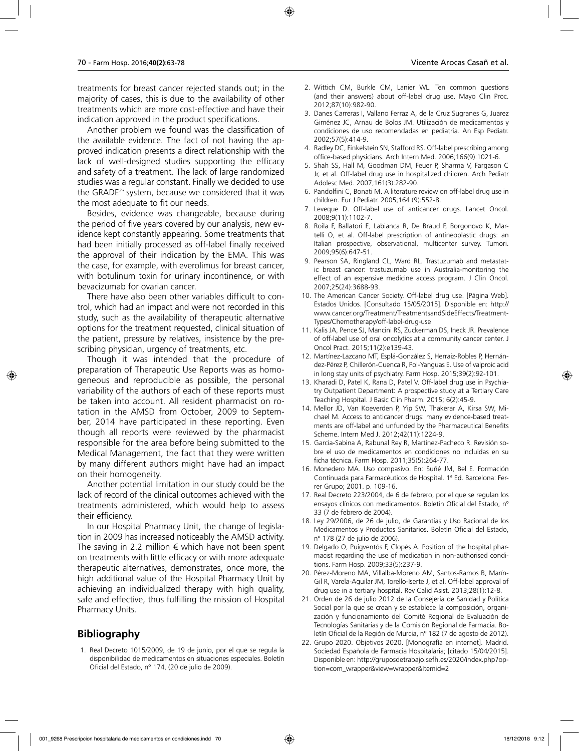treatments for breast cancer rejected stands out; in the majority of cases, this is due to the availability of other treatments which are more cost-effective and have their indication approved in the product specifications.

Another problem we found was the classification of the available evidence. The fact of not having the approved indication presents a direct relationship with the lack of well-designed studies supporting the efficacy and safety of a treatment. The lack of large randomized studies was a regular constant. Finally we decided to use the GRADE23 system, because we considered that it was the most adequate to fit our needs.

Besides, evidence was changeable, because during the period of five years covered by our analysis, new evidence kept constantly appearing. Some treatments that had been initially processed as off-label finally received the approval of their indication by the EMA. This was the case, for example, with everolimus for breast cancer, with botulinum toxin for urinary incontinence, or with bevacizumab for ovarian cancer.

There have also been other variables difficult to control, which had an impact and were not recorded in this study, such as the availability of therapeutic alternative options for the treatment requested, clinical situation of the patient, pressure by relatives, insistence by the prescribing physician, urgency of treatments, etc.

Though it was intended that the procedure of preparation of Therapeutic Use Reports was as homogeneous and reproducible as possible, the personal variability of the authors of each of these reports must be taken into account. All resident pharmacist on rotation in the AMSD from October, 2009 to September, 2014 have participated in these reporting. Even though all reports were reviewed by the pharmacist responsible for the area before being submitted to the Medical Management, the fact that they were written by many different authors might have had an impact on their homogeneity.

Another potential limitation in our study could be the lack of record of the clinical outcomes achieved with the treatments administered, which would help to assess their efficiency.

In our Hospital Pharmacy Unit, the change of legislation in 2009 has increased noticeably the AMSD activity. The saving in 2.2 million  $\epsilon$  which have not been spent on treatments with little efficacy or with more adequate therapeutic alternatives, demonstrates, once more, the high additional value of the Hospital Pharmacy Unit by achieving an individualized therapy with high quality, safe and effective, thus fulfilling the mission of Hospital Pharmacy Units.

## **Bibliography**

1. Real Decreto 1015/2009, de 19 de junio, por el que se regula la disponibilidad de medicamentos en situaciones especiales. Boletín Oficial del Estado, nº 174, (20 de julio de 2009).

- 2. Wittich CM, Burkle CM, Lanier WL. Ten common questions (and their answers) about off-label drug use. Mayo Clin Proc. 2012;87(10):982-90.
- 3. Danes Carreras I, Vallano Ferraz A, de la Cruz Sugranes G, Juarez Giménez JC, Arnau de Bolos JM. Utilización de medicamentos y condiciones de uso recomendadas en pediatría. An Esp Pediatr. 2002;57(5):414-9.
- 4. Radley DC, Finkelstein SN, Stafford RS. Off-label prescribing among office-based physicians. Arch Intern Med. 2006;166(9):1021-6.
- 5. Shah SS, Hall M, Goodman DM, Feuer P, Sharma V, Fargason C Jr, et al. Off-label drug use in hospitalized children. Arch Pediatr Adolesc Med. 2007;161(3):282-90.
- 6. Pandolfini C, Bonati M. A literature review on off-label drug use in children. Eur J Pediatr. 2005;164 (9):552-8.
- 7. Leveque D. Off-label use of anticancer drugs. Lancet Oncol. 2008;9(11):1102-7.
- 8. Roila F, Ballatori E, Labianca R, De Braud F, Borgonovo K, Martelli O, et al. Off-label prescription of antineoplastic drugs: an Italian prospective, observational, multicenter survey. Tumori. 2009;95(6):647-51.
- 9. Pearson SA, Ringland CL, Ward RL. Trastuzumab and metastatic breast cancer: trastuzumab use in Australia-monitoring the effect of an expensive medicine access program. J Clin Oncol. 2007;25(24):3688-93.
- 10. The American Cancer Society. Off-label drug use. [Página Web]. Estados Unidos. [Consultado 15/05/2015]. Disponible en: http:// www.cancer.org/Treatment/TreatmentsandSideEffects/Treatment-Types/Chemotherapy/off-label-drug-use
- 11. Kalis JA, Pence SJ, Mancini RS, Zuckerman DS, Ineck JR. Prevalence of off-label use of oral oncolytics at a community cancer center. J Oncol Pract. 2015;11(2):e139-43.
- 12. Martínez-Lazcano MT, Esplá-González S, Herraiz-Robles P, Hernández-Pérez P, Chillerón-Cuenca R, Pol-Yanguas E. Use of valproic acid in long stay units of psychiatry. Farm Hosp. 2015;39(2):92-101.
- 13. Kharadi D, Patel K, Rana D, Patel V. Off-label drug use in Psychiatry Outpatient Department: A prospective study at a Tertiary Care Teaching Hospital. J Basic Clin Pharm. 2015; 6(2):45-9.
- 14. Mellor JD, Van Koeverden P, Yip SW, Thakerar A, Kirsa SW, Michael M. Access to anticancer drugs: many evidence-based treatments are off-label and unfunded by the Pharmaceutical Benefits Scheme. Intern Med J. 2012;42(11):1224-9.
- 15. García-Sabina A, Rabunal Rey R, Martínez-Pacheco R. Revisión sobre el uso de medicamentos en condiciones no incluidas en su ficha técnica. Farm Hosp. 2011;35(5):264-77.
- 16. Monedero MA. Uso compasivo. En: Suñé JM, Bel E. Formación Continuada para Farmacéuticos de Hospital. 1ª Ed. Barcelona: Ferrer Grupo; 2001. p. 109-16.
- 17. Real Decreto 223/2004, de 6 de febrero, por el que se regulan los ensayos clínicos con medicamentos. Boletín Oficial del Estado, nº 33 (7 de febrero de 2004).
- 18. Ley 29/2006, de 26 de julio, de Garantías y Uso Racional de los Medicamentos y Productos Sanitarios. Boletín Oficial del Estado, nº 178 (27 de julio de 2006).
- 19. Delgado O, Puigventós F, Clopés A. Position of the hospital pharmacist regarding the use of medication in non-authorised conditions. Farm Hosp. 2009;33(5):237-9.
- 20. Pérez-Moreno MA, Villalba-Moreno AM, Santos-Ramos B, Marín-Gil R, Varela-Aguilar JM, Torello-Iserte J, et al. Off-label approval of drug use in a tertiary hospital. Rev Calid Asist. 2013;28(1):12-8.
- 21. Orden de 26 de julio 2012 de la Consejería de Sanidad y Política Social por la que se crean y se establece la composición, organización y funcionamiento del Comité Regional de Evaluación de Tecnologías Sanitarias y de la Comisión Regional de Farmacia. Boletín Oficial de la Región de Murcia, nº 182 (7 de agosto de 2012).
- 22. Grupo 2020. Objetivos 2020. [Monografía en internet]. Madrid. Sociedad Española de Farmacia Hospitalaria; [citado 15/04/2015]. Disponible en: http://gruposdetrabajo.sefh.es/2020/index.php?option=com\_wrapper&view=wrapper&Itemid=2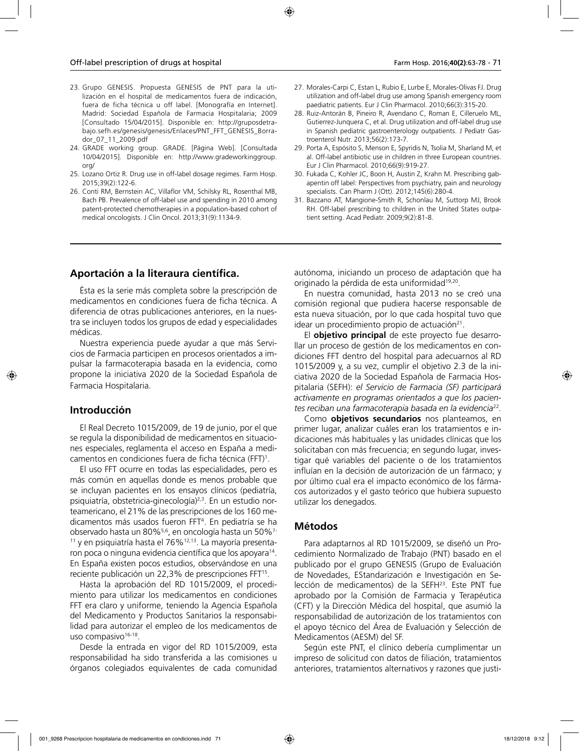- 23. Grupo GENESIS. Propuesta GENESIS de PNT para la utilización en el hospital de medicamentos fuera de indicación, fuera de ficha técnica u off label. [Monografía en Internet]. Madrid: Sociedad Española de Farmacia Hospitalaria; 2009 [Consultado 15/04/2015]. Disponible en: http://gruposdetrabajo.sefh.es/genesis/genesis/Enlaces/PNT\_FFT\_GENESIS\_Borrador\_07\_11\_2009.pdf
- 24. GRADE working group. GRADE. [Página Web]. [Consultada 10/04/2015]. Disponible en: http://www.gradeworkinggroup. org/
- 25. Lozano Ortiz R. Drug use in off-label dosage regimes. Farm Hosp. 2015;39(2):122-6.
- 26. Conti RM, Bernstein AC, Villaflor VM, Schilsky RL, Rosenthal MB, Bach PB. Prevalence of off-label use and spending in 2010 among patent-protected chemotherapies in a population-based cohort of medical oncologists. J Clin Oncol. 2013;31(9):1134-9.
- 27. Morales-Carpi C, Estan L, Rubio E, Lurbe E, Morales-Olivas FJ. Drug utilization and off-label drug use among Spanish emergency room paediatric patients. Eur J Clin Pharmacol. 2010;66(3):315-20.
- 28. Ruiz-Antorán B, Pineiro R, Avendano C, Roman E, Cilleruelo ML, Gutierrez-Junquera C, et al. Drug utilization and off-label drug use in Spanish pediatric gastroenterology outpatients. J Pediatr Gastroenterol Nutr. 2013;56(2):173-7.
- 29. Porta A, Espósito S, Menson E, Spyridis N, Tsolia M, Sharland M, et al. Off-label antibiotic use in children in three European countries. Eur J Clin Pharmacol. 2010;66(9):919-27.
- 30. Fukada C, Kohler JC, Boon H, Austin Z, Krahn M. Prescribing gabapentin off label: Perspectives from psychiatry, pain and neurology specialists. Can Pharm J (Ott). 2012;145(6):280-4.
- 31. Bazzano AT, Mangione-Smith R, Schonlau M, Suttorp MJ, Brook RH. Off-label prescribing to children in the United States outpatient setting. Acad Pediatr. 2009;9(2):81-8.

### **Aportación a la literaura científica.**

Ésta es la serie más completa sobre la prescripción de medicamentos en condiciones fuera de ficha técnica. A diferencia de otras publicaciones anteriores, en la nuestra se incluyen todos los grupos de edad y especialidades médicas.

Nuestra experiencia puede ayudar a que más Servicios de Farmacia participen en procesos orientados a impulsar la farmacoterapia basada en la evidencia, como propone la iniciativa 2020 de la Sociedad Española de Farmacia Hospitalaria.

### **Introducción**

El Real Decreto 1015/2009, de 19 de junio, por el que se regula la disponibilidad de medicamentos en situaciones especiales, reglamenta el acceso en España a medicamentos en condiciones fuera de ficha técnica (FFT)1 .

El uso FFT ocurre en todas las especialidades, pero es más común en aquellas donde es menos probable que se incluyan pacientes en los ensayos clínicos (pediatría, psiquiatría, obstetricia-ginecología)<sup>2,3</sup>. En un estudio norteamericano, el 21% de las prescripciones de los 160 medicamentos más usados fueron FFT4 . En pediatría se ha observado hasta un 80%5,6, en oncología hasta un 50%7- <sup>11</sup> y en psiquiatría hasta el 76%<sup>12,13</sup>. La mayoría presentaron poca o ninguna evidencia científica que los apoyara<sup>14</sup>. En España existen pocos estudios, observándose en una reciente publicación un 22,3% de prescripciones FFT15.

Hasta la aprobación del RD 1015/2009, el procedimiento para utilizar los medicamentos en condiciones FFT era claro y uniforme, teniendo la Agencia Española del Medicamento y Productos Sanitarios la responsabilidad para autorizar el empleo de los medicamentos de uso compasivo<sup>16-18</sup>.

Desde la entrada en vigor del RD 1015/2009, esta responsabilidad ha sido transferida a las comisiones u órganos colegiados equivalentes de cada comunidad

autónoma, iniciando un proceso de adaptación que ha originado la pérdida de esta uniformidad19,20.

En nuestra comunidad, hasta 2013 no se creó una comisión regional que pudiera hacerse responsable de esta nueva situación, por lo que cada hospital tuvo que idear un procedimiento propio de actuación $21$ .

El **objetivo principal** de este proyecto fue desarrollar un proceso de gestión de los medicamentos en condiciones FFT dentro del hospital para adecuarnos al RD 1015/2009 y, a su vez, cumplir el objetivo 2.3 de la iniciativa 2020 de la Sociedad Española de Farmacia Hospitalaria (SEFH): *el Servicio de Farmacia (SF) participará activamente en programas orientados a que los pacientes reciban una farmacoterapia basada en la evidencia*<sup>22</sup>*.*

Como **objetivos secundarios** nos planteamos, en primer lugar, analizar cuáles eran los tratamientos e indicaciones más habituales y las unidades clínicas que los solicitaban con más frecuencia; en segundo lugar, investigar qué variables del paciente o de los tratamientos influían en la decisión de autorización de un fármaco; y por último cual era el impacto económico de los fármacos autorizados y el gasto teórico que hubiera supuesto utilizar los denegados.

### **Métodos**

Para adaptarnos al RD 1015/2009, se diseñó un Procedimiento Normalizado de Trabajo (PNT) basado en el publicado por el grupo GENESIS (Grupo de Evaluación de Novedades, EStandarización e Investigación en Selección de medicamentos) de la SEFH23. Este PNT fue aprobado por la Comisión de Farmacia y Terapéutica (CFT) y la Dirección Médica del hospital, que asumió la responsabilidad de autorización de los tratamientos con el apoyo técnico del Área de Evaluación y Selección de Medicamentos (AESM) del SF.

Según este PNT, el clínico debería cumplimentar un impreso de solicitud con datos de filiación, tratamientos anteriores, tratamientos alternativos y razones que justi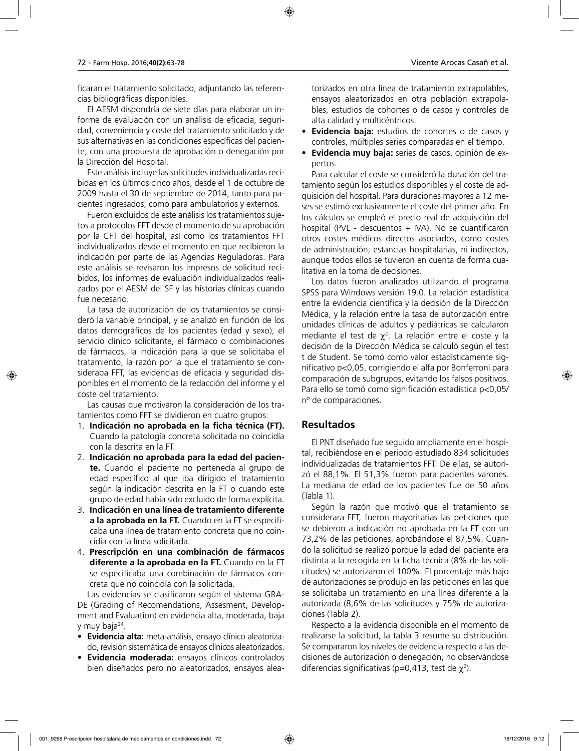ficaran el tratamiento solicitado, adjuntando las referencias bibliográficas disponibles.

El AESM dispondría de siete días para elaborar un informe de evaluación con un análisis de eficacia, seguridad, conveniencia y coste del tratamiento solicitado y de sus alternativas en las condiciones específicas del paciente, con una propuesta de aprobación o denegación por la Dirección del Hospital.

Este análisis incluye las solicitudes individualizadas recibidas en los últimos cinco años, desde el 1 de octubre de 2009 hasta el 30 de septiembre de 2014, tanto para pacientes ingresados, como para ambulatorios y externos.

Fueron excluidos de este análisis los tratamientos sujetos a protocolos FFT desde el momento de su aprobación por la CFT del hospital, así como los tratamientos FFT individualizados desde el momento en que recibieron la indicación por parte de las Agencias Reguladoras. Para este análisis se revisaron los impresos de solicitud recibidos, los informes de evaluación individualizados realizados por el AESM del SF y las historias clínicas cuando fue necesario.

La tasa de autorización de los tratamientos se consideró la variable principal, y se analizó en función de los datos demográficos de los pacientes (edad y sexo), el servicio clínico solicitante, el fármaco o combinaciones de fármacos, la indicación para la que se solicitaba el tratamiento, la razón por la que el tratamiento se consideraba FFT, las evidencias de eficacia y seguridad disponibles en el momento de la redacción del informe y el coste del tratamiento.

Las causas que motivaron la consideración de los tratamientos como FFT se dividieron en cuatro grupos:

- 1. **Indicación no aprobada en la ficha técnica (FT).** Cuando la patología concreta solicitada no coincidía con la descrita en la FT.
- 2. **Indicación no aprobada para la edad del paciente.** Cuando el paciente no pertenecía al grupo de edad específico al que iba dirigido el tratamiento según la indicación descrita en la FT o cuando este grupo de edad había sido excluido de forma explícita.
- 3. **Indicación en una línea de tratamiento diferente a la aprobada en la FT.** Cuando en la FT se especificaba una línea de tratamiento concreta que no coincidía con la línea solicitada.
- 4. **Prescripción en una combinación de fármacos diferente a la aprobada en la FT.** Cuando en la FT se especificaba una combinación de fármacos concreta que no coincidía con la solicitada.

Las evidencias se clasificaron según el sistema GRA-DE (Grading of Recomendations, Assesment, Development and Evaluation) en evidencia alta, moderada, baja y muy baja24.

- **Evidencia alta:** meta-análisis, ensayo clínico aleatorizado, revisión sistemática de ensayos clínicos aleatorizados.
- **Evidencia moderada:** ensayos clínicos controlados bien diseñados pero no aleatorizados, ensayos alea-

torizados en otra línea de tratamiento extrapolables, ensayos aleatorizados en otra población extrapolables, estudios de cohortes o de casos y controles de alta calidad y multicéntricos.

- **Evidencia baja:** estudios de cohortes o de casos y controles, múltiples series comparadas en el tiempo.
- **Evidencia muy baja:** series de casos, opinión de expertos.

Para calcular el coste se consideró la duración del tratamiento según los estudios disponibles y el coste de adquisición del hospital. Para duraciones mayores a 12 meses se estimó exclusivamente el coste del primer año. En los cálculos se empleó el precio real de adquisición del hospital (PVL - descuentos + IVA). No se cuantificaron otros costes médicos directos asociados, como costes de administración, estancias hospitalarias, ni indirectos, aunque todos ellos se tuvieron en cuenta de forma cualitativa en la toma de decisiones.

Los datos fueron analizados utilizando el programa SPSS para Windows versión 19.0. La relación estadística entre la evidencia científica y la decisión de la Dirección Médica, y la relación entre la tasa de autorización entre unidades clínicas de adultos y pediátricas se calcularon mediante el test de  $\chi^2$ . La relación entre el coste y la decisión de la Dirección Médica se calculó según el test t de Student. Se tomó como valor estadísticamente significativo p<0,05, corrigiendo el alfa por Bonferroni para comparación de subgrupos, evitando los falsos positivos. Para ello se tomó como significación estadística p<0,05/ nº de comparaciones.

## **Resultados**

El PNT diseñado fue seguido ampliamente en el hospital, recibiéndose en el periodo estudiado 834 solicitudes individualizadas de tratamientos FFT. De ellas, se autorizó el 88,1%. El 51,3% fueron para pacientes varones. La mediana de edad de los pacientes fue de 50 años (Tabla 1).

Según la razón que motivó que el tratamiento se considerara FFT, fueron mayoritarias las peticiones que se debieron a indicación no aprobada en la FT con un 73,2% de las peticiones, aprobándose el 87,5%. Cuando la solicitud se realizó porque la edad del paciente era distinta a la recogida en la ficha técnica (8% de las solicitudes) se autorizaron el 100%. El porcentaje más bajo de autorizaciones se produjo en las peticiones en las que se solicitaba un tratamiento en una línea diferente a la autorizada (8,6% de las solicitudes y 75% de autorizaciones (Tabla 2).

Respecto a la evidencia disponible en el momento de realizarse la solicitud, la tabla 3 resume su distribución. Se compararon los niveles de evidencia respecto a las decisiones de autorización o denegación, no observándose diferencias significativas (p=0,413, test de  $\chi^2$ ).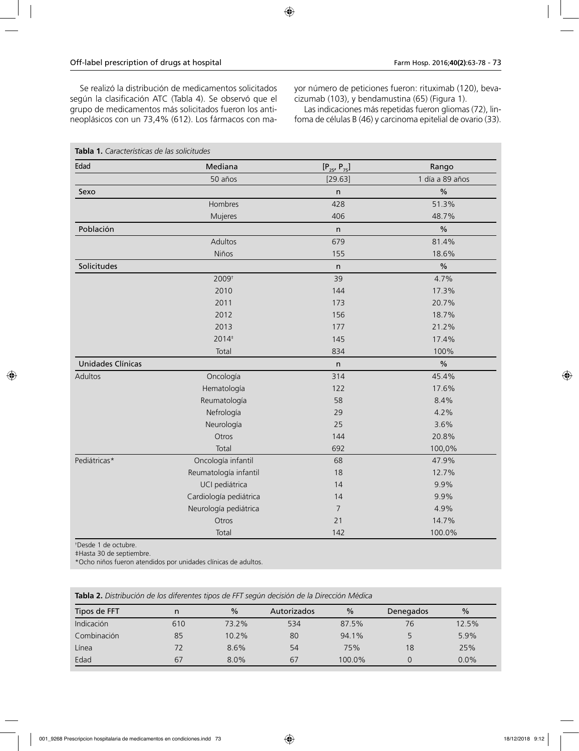Se realizó la distribución de medicamentos solicitados según la clasificación ATC (Tabla 4). Se observó que el grupo de medicamentos más solicitados fueron los antineoplásicos con un 73,4% (612). Los fármacos con mayor número de peticiones fueron: rituximab (120), bevacizumab (103), y bendamustina (65) (Figura 1).

Las indicaciones más repetidas fueron gliomas (72), linfoma de células B (46) y carcinoma epitelial de ovario (33).

| Edad                     | Mediana                | $[P_{25}, P_{75}]$ | Rango           |  |
|--------------------------|------------------------|--------------------|-----------------|--|
|                          | 50 años                | [29.63]            | 1 día a 89 años |  |
| Sexo                     |                        | $\mathsf{n}$       | $\%$            |  |
|                          | Hombres                | 428                | 51.3%           |  |
|                          | Mujeres                | 406                | 48.7%           |  |
| Población                |                        | n                  | $\%$            |  |
|                          | Adultos                | 679                | 81.4%           |  |
|                          | Niños                  | 155                | 18.6%           |  |
| Solicitudes              |                        | $\sf n$            | $\%$            |  |
|                          | 2009 <sup>+</sup>      | 39                 | 4.7%            |  |
|                          | 2010                   | 144                | 17.3%           |  |
|                          | 2011                   | 173                | 20.7%           |  |
|                          | 2012                   | 156                | 18.7%           |  |
|                          | 2013                   | 177                | 21.2%           |  |
|                          | 2014 <sup>#</sup>      | 145                | 17.4%           |  |
|                          | Total                  | 834                | 100%            |  |
| <b>Unidades Clínicas</b> |                        | $\sf n$            | $\frac{0}{0}$   |  |
| Adultos                  | Oncología              | 314                | 45.4%           |  |
|                          | Hematología            | 122                | 17.6%           |  |
|                          | Reumatología           | 58                 | 8.4%            |  |
|                          | Nefrología             | 29                 | 4.2%            |  |
|                          | Neurología             | 25                 | 3.6%            |  |
|                          | Otros                  | 144                | 20.8%           |  |
|                          | Total                  | 692                | 100,0%          |  |
| Pediátricas*             | Oncología infantil     | 68                 | 47.9%           |  |
|                          | Reumatología infantil  | 18                 | 12.7%           |  |
|                          | UCI pediátrica         | 14                 | 9.9%            |  |
|                          | Cardiología pediátrica | 14                 | 9.9%            |  |
|                          | Neurología pediátrica  | $\overline{7}$     | 4.9%            |  |
|                          | Otros                  | 21                 | 14.7%           |  |
|                          | Total                  | 142                | 100.0%          |  |

† Desde 1 de octubre.

‡Hasta 30 de septiembre.

\*Ocho niños fueron atendidos por unidades clínicas de adultos.

| Tabla 2. Distribución de los diferentes tipos de FFT según decisión de la Dirección Médica |  |
|--------------------------------------------------------------------------------------------|--|
|                                                                                            |  |

| Tipos de FFT      | n   | $\%$    | Autorizados | $\frac{0}{2}$ | Denegados | $\frac{0}{0}$ |
|-------------------|-----|---------|-------------|---------------|-----------|---------------|
| <b>Indicación</b> | 610 | 73.2%   | 534         | 87.5%         | 76        | 12.5%         |
| Combinación       | 85  | 10.2%   | 80          | 94.1%         |           | 5.9%          |
| Línea             | 72  | 8.6%    | 54          | 75%           | 18        | 25%           |
| Edad              | 67  | $8.0\%$ | 67          | 100.0%        |           | 0.0%          |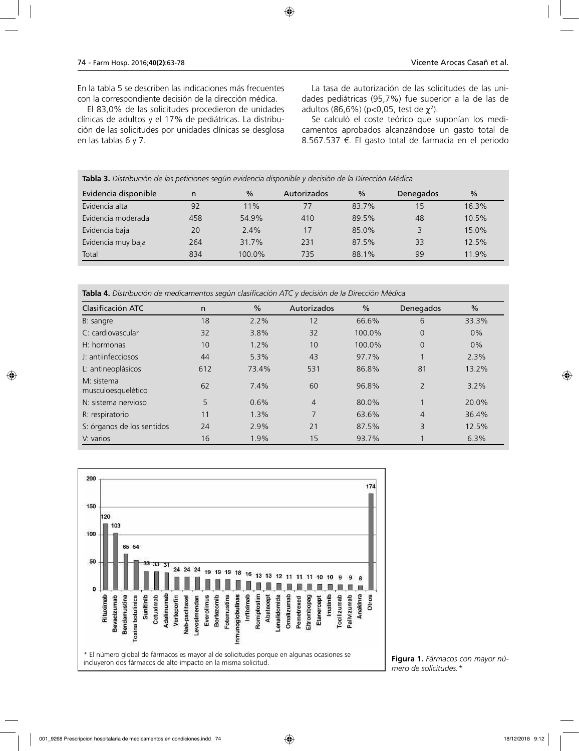En la tabla 5 se describen las indicaciones más frecuentes con la correspondiente decisión de la dirección médica.

El 83,0% de las solicitudes procedieron de unidades clínicas de adultos y el 17% de pediátricas. La distribución de las solicitudes por unidades clínicas se desglosa en las tablas 6 y 7.

La tasa de autorización de las solicitudes de las unidades pediátricas (95,7%) fue superior a la de las de adultos (86,6%) (p<0,05, test de  $\chi^2$ ).

Se calculó el coste teórico que suponían los medicamentos aprobados alcanzándose un gasto total de 8.567.537 €. El gasto total de farmacia en el periodo

| Evidencia disponible | n   | $\%$   | Autorizados | $\frac{0}{0}$ | Denegados | $\frac{0}{0}$ |
|----------------------|-----|--------|-------------|---------------|-----------|---------------|
| Evidencia alta       | 92  | 11%    | 77          | 83.7%         | 15        | 16.3%         |
| Evidencia moderada   | 458 | 54.9%  | 410         | 89.5%         | 48        | 10.5%         |
| Evidencia baja       | 20  | 2.4%   | 17          | 85.0%         | 3         | 15.0%         |
| Evidencia muy baja   | 264 | 31.7%  | 231         | 87.5%         | 33        | 12.5%         |
| Total                | 834 | 100.0% | 735         | 88.1%         | 99        | 11.9%         |

**Tabla 4.** *Distribución de medicamentos según clasificación ATC y decisión de la Dirección Médica*

| Clasificación ATC                | n   | $\frac{0}{0}$ | Autorizados    | $\frac{0}{0}$ | Denegados      | $\frac{0}{0}$ |
|----------------------------------|-----|---------------|----------------|---------------|----------------|---------------|
| B: sangre                        | 18  | 2.2%          | 12             | 66.6%         | 6              | 33.3%         |
| C: cardiovascular                | 32  | 3.8%          | 32             | 100.0%        | $\overline{0}$ | 0%            |
| $H:$ hormonas                    | 10  | 1.2%          | 10             | 100.0%        | $\overline{0}$ | 0%            |
| J: antiinfecciosos               | 44  | 5.3%          | 43             | 97.7%         |                | 2.3%          |
| L: antineoplásicos               | 612 | 73.4%         | 531            | 86.8%         | 81             | 13.2%         |
| M: sistema<br>musculoesquelético | 62  | 7.4%          | 60             | 96.8%         | $\overline{2}$ | 3.2%          |
| N: sistema nervioso              | 5   | 0.6%          | $\overline{4}$ | 80.0%         | $\overline{ }$ | 20.0%         |
| R: respiratorio                  | 11  | 1.3%          | 7              | 63.6%         | 4              | 36.4%         |
| S: órganos de los sentidos       | 24  | 2.9%          | 21             | 87.5%         | 3              | 12.5%         |
| V: varios                        | 16  | 1.9%          | 15             | 93.7%         |                | 6.3%          |



**Figura 1.** *Fármacos con mayor número de solicitudes.\**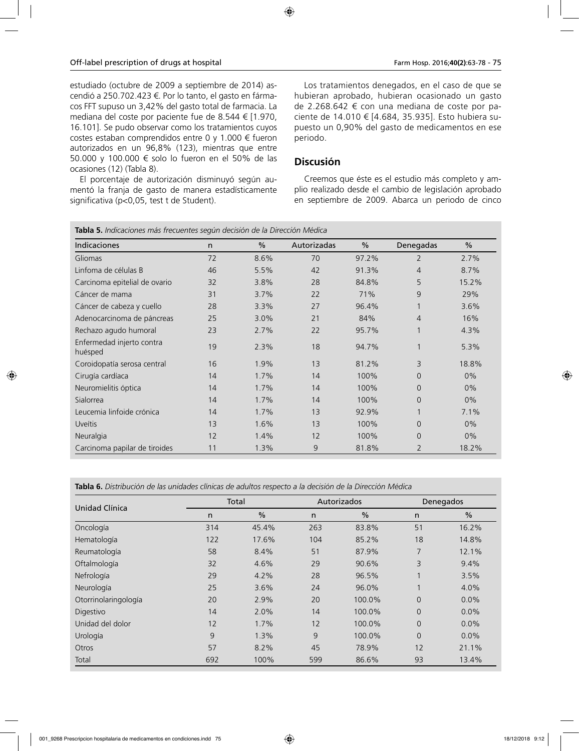estudiado (octubre de 2009 a septiembre de 2014) ascendió a 250.702.423 €. Por lo tanto, el gasto en fármacos FFT supuso un 3,42% del gasto total de farmacia. La mediana del coste por paciente fue de 8.544 € [1.970, 16.101]. Se pudo observar como los tratamientos cuyos costes estaban comprendidos entre 0 y 1.000 € fueron autorizados en un 96,8% (123), mientras que entre 50.000 y 100.000 € solo lo fueron en el 50% de las ocasiones (12) (Tabla 8).

El porcentaje de autorización disminuyó según aumentó la franja de gasto de manera estadísticamente significativa (p<0,05, test t de Student).

Los tratamientos denegados, en el caso de que se hubieran aprobado, hubieran ocasionado un gasto de 2.268.642 € con una mediana de coste por paciente de 14.010 € [4.684, 35.935]. Esto hubiera supuesto un 0,90% del gasto de medicamentos en ese periodo.

### **Discusión**

Creemos que éste es el estudio más completo y amplio realizado desde el cambio de legislación aprobado en septiembre de 2009. Abarca un periodo de cinco

| Tabla 5. Indicaciones más frecuentes según decisión de la Dirección Médica |    |      |             |       |                |               |  |
|----------------------------------------------------------------------------|----|------|-------------|-------|----------------|---------------|--|
| <b>Indicaciones</b>                                                        | n  | $\%$ | Autorizadas | %     | Denegadas      | $\frac{0}{0}$ |  |
| Gliomas                                                                    | 72 | 8.6% | 70          | 97.2% | 2              | 2.7%          |  |
| Linfoma de células B                                                       | 46 | 5.5% | 42          | 91.3% | $\overline{4}$ | 8.7%          |  |
| Carcinoma epitelial de ovario                                              | 32 | 3.8% | 28          | 84.8% | 5              | 15.2%         |  |
| Cáncer de mama                                                             | 31 | 3.7% | 22          | 71%   | $\overline{9}$ | 29%           |  |
| Cáncer de cabeza y cuello                                                  | 28 | 3.3% | 27          | 96.4% |                | 3.6%          |  |
| Adenocarcinoma de páncreas                                                 | 25 | 3.0% | 21          | 84%   | $\overline{4}$ | 16%           |  |
| Rechazo agudo humoral                                                      | 23 | 2.7% | 22          | 95.7% |                | 4.3%          |  |
| Enfermedad injerto contra<br>huésped                                       | 19 | 2.3% | 18          | 94.7% | $\mathbf 1$    | 5.3%          |  |
| Coroidopatía serosa central                                                | 16 | 1.9% | 13          | 81.2% | 3              | 18.8%         |  |
| Cirugía cardíaca                                                           | 14 | 1.7% | 14          | 100%  | $\Omega$       | $0\%$         |  |
| Neuromielitis óptica                                                       | 14 | 1.7% | 14          | 100%  | $\Omega$       | 0%            |  |
| Sialorrea                                                                  | 14 | 1.7% | 14          | 100%  | $\overline{0}$ | $0\%$         |  |
| Leucemia linfoide crónica                                                  | 14 | 1.7% | 13          | 92.9% |                | 7.1%          |  |
| Uveítis                                                                    | 13 | 1.6% | 13          | 100%  | $\Omega$       | $0\%$         |  |
| Neuralgia                                                                  | 12 | 1.4% | 12          | 100%  | $\Omega$       | 0%            |  |
| Carcinoma papilar de tiroides                                              | 11 | 1.3% | 9           | 81.8% | $\overline{2}$ | 18.2%         |  |

**Tabla 6.** *Distribución de las unidades clínicas de adultos respecto a la decisión de la Dirección Médica*

| Unidad Clínica       | Total |               | Autorizados |               | Denegados      |               |
|----------------------|-------|---------------|-------------|---------------|----------------|---------------|
|                      | n     | $\frac{0}{0}$ | n           | $\frac{0}{0}$ | n              | $\frac{0}{0}$ |
| Oncología            | 314   | 45.4%         | 263         | 83.8%         | 51             | 16.2%         |
| Hematología          | 122   | 17.6%         | 104         | 85.2%         | 18             | 14.8%         |
| Reumatología         | 58    | 8.4%          | 51          | 87.9%         | 7              | 12.1%         |
| Oftalmología         | 32    | 4.6%          | 29          | 90.6%         | 3              | 9.4%          |
| Nefrología           | 29    | 4.2%          | 28          | 96.5%         | 1              | 3.5%          |
| Neurología           | 25    | 3.6%          | 24          | 96.0%         | 1              | 4.0%          |
| Otorrinolaringología | 20    | 2.9%          | 20          | 100.0%        | $\overline{0}$ | 0.0%          |
| Digestivo            | 14    | 2.0%          | 14          | 100.0%        | $\overline{0}$ | 0.0%          |
| Unidad del dolor     | 12    | 1.7%          | 12          | 100.0%        | $\overline{0}$ | 0.0%          |
| Urología             | 9     | 1.3%          | 9           | 100.0%        | $\overline{0}$ | 0.0%          |
| Otros                | 57    | 8.2%          | 45          | 78.9%         | 12             | 21.1%         |
| Total                | 692   | 100%          | 599         | 86.6%         | 93             | 13.4%         |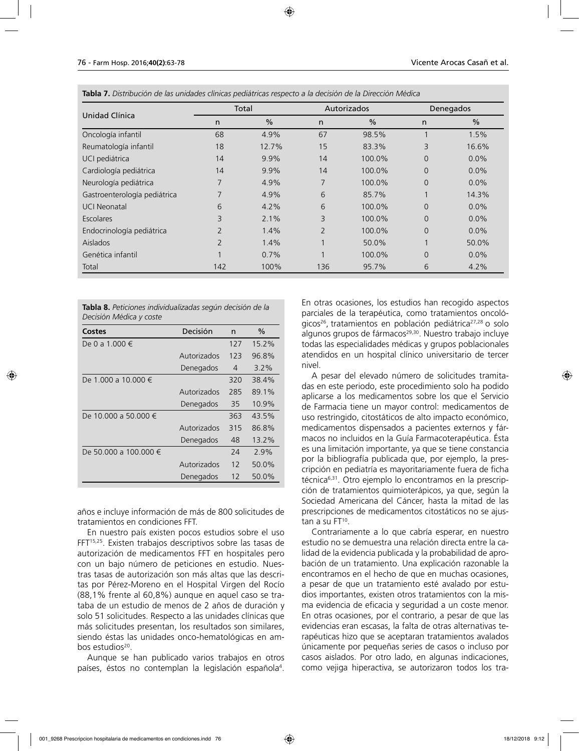|                              | Total          |               | Autorizados    |               | Denegados |               |
|------------------------------|----------------|---------------|----------------|---------------|-----------|---------------|
| Unidad Clínica               | n              | $\frac{0}{0}$ | n              | $\frac{0}{0}$ | n         | $\frac{0}{0}$ |
| Oncología infantil           | 68             | 4.9%          | 67             | 98.5%         |           | 1.5%          |
| Reumatología infantil        | 18             | 12.7%         | 15             | 83.3%         | 3         | 16.6%         |
| UCI pediátrica               | 14             | 9.9%          | 14             | 100.0%        | $\Omega$  | $0.0\%$       |
| Cardiología pediátrica       | 14             | 9.9%          | 14             | 100.0%        | $\Omega$  | $0.0\%$       |
| Neurología pediátrica        | 7              | 4.9%          | 7              | 100.0%        | $\Omega$  | $0.0\%$       |
| Gastroenterología pediátrica | 7              | 4.9%          | 6              | 85.7%         |           | 14.3%         |
| <b>UCI Neonatal</b>          | 6              | 4.2%          | 6              | 100.0%        | $\Omega$  | $0.0\%$       |
| Escolares                    | 3              | $2.1\%$       | 3              | 100.0%        | $\Omega$  | 0.0%          |
| Endocrinología pediátrica    | $\overline{2}$ | 1.4%          | $\overline{2}$ | 100.0%        | $\Omega$  | $0.0\%$       |
| <b>Aislados</b>              | $\overline{2}$ | 1.4%          | 1              | 50.0%         |           | 50.0%         |
| Genética infantil            | 1              | 0.7%          |                | 100.0%        | $\Omega$  | $0.0\%$       |
| Total                        | 142            | 100%          | 136            | 95.7%         | 6         | 4.2%          |

**Tabla 7.** *Distribución de las unidades clínicas pediátricas respecto a la decisión de la Dirección Médica*

| Tabla 8. Peticiones individualizadas según decisión de la |  |  |  |
|-----------------------------------------------------------|--|--|--|
| Decisión Médica y coste                                   |  |  |  |

| Costes                | Decisión    | n   | $\%$     |
|-----------------------|-------------|-----|----------|
| De 0 a 1.000 €        |             | 127 | 15.2%    |
|                       | Autorizados | 123 | 96.8%    |
|                       | Denegados   | 4   | $3.2\%$  |
| De 1.000 a 10.000 €   |             | 320 | 38.4%    |
|                       | Autorizados | 285 | 89.1%    |
|                       | Denegados   | 35  | 10.9%    |
| De 10.000 a 50.000 €  |             | 363 | 43.5%    |
|                       | Autorizados | 315 | 86.8%    |
|                       | Denegados   | 48  | $13.2\%$ |
| De 50.000 a 100.000 € |             | 24  | 2.9%     |
|                       | Autorizados | 12  | 50.0%    |
|                       | Denegados   | 12  | 50.0%    |

años e incluye información de más de 800 solicitudes de tratamientos en condiciones FFT.

En nuestro país existen pocos estudios sobre el uso FFT15,25. Existen trabajos descriptivos sobre las tasas de autorización de medicamentos FFT en hospitales pero con un bajo número de peticiones en estudio. Nuestras tasas de autorización son más altas que las descritas por Pérez-Moreno en el Hospital Virgen del Rocío (88,1% frente al 60,8%) aunque en aquel caso se trataba de un estudio de menos de 2 años de duración y solo 51 solicitudes. Respecto a las unidades clínicas que más solicitudes presentan, los resultados son similares, siendo éstas las unidades onco-hematológicas en ambos estudios<sup>20</sup>.

Aunque se han publicado varios trabajos en otros países, éstos no contemplan la legislación española<sup>4</sup>.

En otras ocasiones, los estudios han recogido aspectos parciales de la terapéutica, como tratamientos oncológicos<sup>26</sup>, tratamientos en población pediátrica<sup>27,28</sup> o solo algunos grupos de fármacos<sup>29,30</sup>. Nuestro trabajo incluye todas las especialidades médicas y grupos poblacionales atendidos en un hospital clínico universitario de tercer nivel.

A pesar del elevado número de solicitudes tramitadas en este periodo, este procedimiento solo ha podido aplicarse a los medicamentos sobre los que el Servicio de Farmacia tiene un mayor control: medicamentos de uso restringido, citostáticos de alto impacto económico, medicamentos dispensados a pacientes externos y fármacos no incluidos en la Guía Farmacoterapéutica. Ésta es una limitación importante, ya que se tiene constancia por la bibliografía publicada que, por ejemplo, la prescripción en pediatría es mayoritariamente fuera de ficha técnica<sup>6,31</sup>. Otro ejemplo lo encontramos en la prescripción de tratamientos quimioterápicos, ya que, según la Sociedad Americana del Cáncer, hasta la mitad de las prescripciones de medicamentos citostáticos no se ajustan a su  $FT^{10}$ .

Contrariamente a lo que cabría esperar, en nuestro estudio no se demuestra una relación directa entre la calidad de la evidencia publicada y la probabilidad de aprobación de un tratamiento. Una explicación razonable la encontramos en el hecho de que en muchas ocasiones, a pesar de que un tratamiento esté avalado por estudios importantes, existen otros tratamientos con la misma evidencia de eficacia y seguridad a un coste menor. En otras ocasiones, por el contrario, a pesar de que las evidencias eran escasas, la falta de otras alternativas terapéuticas hizo que se aceptaran tratamientos avalados únicamente por pequeñas series de casos o incluso por casos aislados. Por otro lado, en algunas indicaciones, como vejiga hiperactiva, se autorizaron todos los tra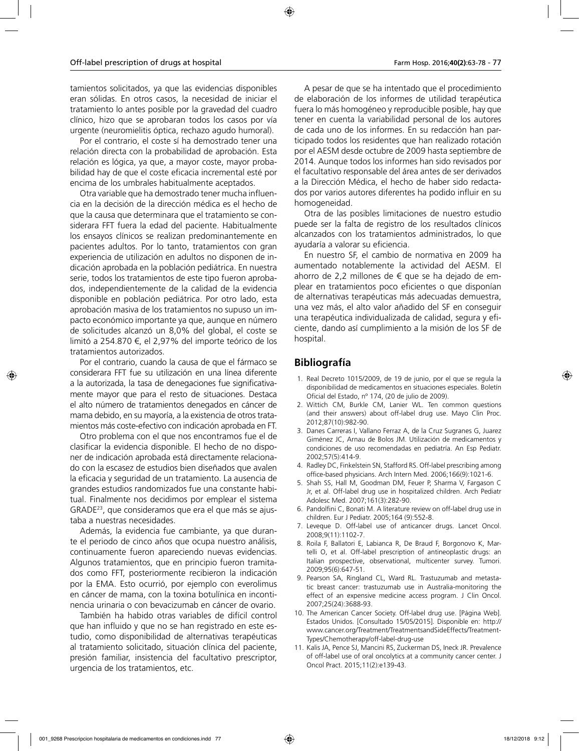tamientos solicitados, ya que las evidencias disponibles eran sólidas. En otros casos, la necesidad de iniciar el tratamiento lo antes posible por la gravedad del cuadro clínico, hizo que se aprobaran todos los casos por vía urgente (neuromielitis óptica, rechazo agudo humoral).

Por el contrario, el coste sí ha demostrado tener una relación directa con la probabilidad de aprobación. Esta relación es lógica, ya que, a mayor coste, mayor probabilidad hay de que el coste eficacia incremental esté por encima de los umbrales habitualmente aceptados.

Otra variable que ha demostrado tener mucha influencia en la decisión de la dirección médica es el hecho de que la causa que determinara que el tratamiento se considerara FFT fuera la edad del paciente. Habitualmente los ensayos clínicos se realizan predominantemente en pacientes adultos. Por lo tanto, tratamientos con gran experiencia de utilización en adultos no disponen de indicación aprobada en la población pediátrica. En nuestra serie, todos los tratamientos de este tipo fueron aprobados, independientemente de la calidad de la evidencia disponible en población pediátrica. Por otro lado, esta aprobación masiva de los tratamientos no supuso un impacto económico importante ya que, aunque en número de solicitudes alcanzó un 8,0% del global, el coste se limitó a 254.870 €, el 2,97% del importe teórico de los tratamientos autorizados.

Por el contrario, cuando la causa de que el fármaco se considerara FFT fue su utilización en una línea diferente a la autorizada, la tasa de denegaciones fue significativamente mayor que para el resto de situaciones. Destaca el alto número de tratamientos denegados en cáncer de mama debido, en su mayoría, a la existencia de otros tratamientos más coste-efectivo con indicación aprobada en FT.

Otro problema con el que nos encontramos fue el de clasificar la evidencia disponible. El hecho de no disponer de indicación aprobada está directamente relacionado con la escasez de estudios bien diseñados que avalen la eficacia y seguridad de un tratamiento. La ausencia de grandes estudios randomizados fue una constante habitual. Finalmente nos decidimos por emplear el sistema GRADE23, que consideramos que era el que más se ajustaba a nuestras necesidades.

Además, la evidencia fue cambiante, ya que durante el periodo de cinco años que ocupa nuestro análisis, continuamente fueron apareciendo nuevas evidencias. Algunos tratamientos, que en principio fueron tramitados como FFT, posteriormente recibieron la indicación por la EMA. Esto ocurrió, por ejemplo con everolimus en cáncer de mama, con la toxina botulínica en incontinencia urinaria o con bevacizumab en cáncer de ovario.

También ha habido otras variables de difícil control que han influido y que no se han registrado en este estudio, como disponibilidad de alternativas terapéuticas al tratamiento solicitado, situación clínica del paciente, presión familiar, insistencia del facultativo prescriptor, urgencia de los tratamientos, etc.

A pesar de que se ha intentado que el procedimiento de elaboración de los informes de utilidad terapéutica fuera lo más homogéneo y reproducible posible, hay que tener en cuenta la variabilidad personal de los autores de cada uno de los informes. En su redacción han participado todos los residentes que han realizado rotación por el AESM desde octubre de 2009 hasta septiembre de 2014. Aunque todos los informes han sido revisados por el facultativo responsable del área antes de ser derivados a la Dirección Médica, el hecho de haber sido redactados por varios autores diferentes ha podido influir en su homogeneidad.

Otra de las posibles limitaciones de nuestro estudio puede ser la falta de registro de los resultados clínicos alcanzados con los tratamientos administrados, lo que ayudaría a valorar su eficiencia.

En nuestro SF, el cambio de normativa en 2009 ha aumentado notablemente la actividad del AESM. El ahorro de 2,2 millones de € que se ha dejado de emplear en tratamientos poco eficientes o que disponían de alternativas terapéuticas más adecuadas demuestra, una vez más, el alto valor añadido del SF en conseguir una terapéutica individualizada de calidad, segura y eficiente, dando así cumplimiento a la misión de los SF de hospital.

### **Bibliografía**

- 1. Real Decreto 1015/2009, de 19 de junio, por el que se regula la disponibilidad de medicamentos en situaciones especiales. Boletín Oficial del Estado, nº 174, (20 de julio de 2009).
- 2. Wittich CM, Burkle CM, Lanier WL. Ten common questions (and their answers) about off-label drug use. Mayo Clin Proc. 2012;87(10):982-90.
- 3. Danes Carreras I, Vallano Ferraz A, de la Cruz Sugranes G, Juarez Giménez JC, Arnau de Bolos JM. Utilización de medicamentos y condiciones de uso recomendadas en pediatría. An Esp Pediatr. 2002;57(5):414-9.
- 4. Radley DC, Finkelstein SN, Stafford RS. Off-label prescribing among office-based physicians. Arch Intern Med. 2006;166(9):1021-6.
- 5. Shah SS, Hall M, Goodman DM, Feuer P, Sharma V, Fargason C Jr, et al. Off-label drug use in hospitalized children. Arch Pediatr Adolesc Med. 2007;161(3):282-90.
- 6. Pandolfini C, Bonati M. A literature review on off-label drug use in children. Eur J Pediatr. 2005;164 (9):552-8.
- 7. Leveque D. Off-label use of anticancer drugs. Lancet Oncol. 2008;9(11):1102-7.
- 8. Roila F, Ballatori E, Labianca R, De Braud F, Borgonovo K, Martelli O, et al. Off-label prescription of antineoplastic drugs: an Italian prospective, observational, multicenter survey. Tumori. 2009;95(6):647-51.
- 9. Pearson SA, Ringland CL, Ward RL. Trastuzumab and metastatic breast cancer: trastuzumab use in Australia-monitoring the effect of an expensive medicine access program. J Clin Oncol. 2007;25(24):3688-93.
- 10. The American Cancer Society. Off-label drug use. [Página Web]. Estados Unidos. [Consultado 15/05/2015]. Disponible en: http:// www.cancer.org/Treatment/TreatmentsandSideEffects/Treatment-Types/Chemotherapy/off-label-drug-use
- 11. Kalis JA, Pence SJ, Mancini RS, Zuckerman DS, Ineck JR. Prevalence of off-label use of oral oncolytics at a community cancer center. J Oncol Pract. 2015;11(2):e139-43.